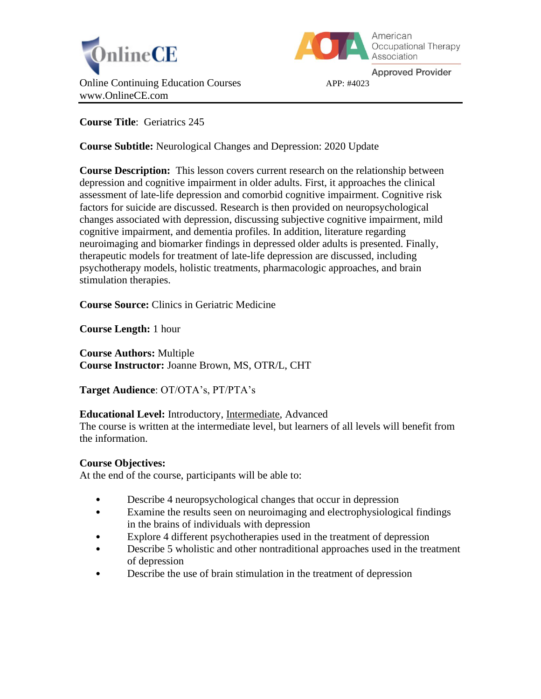



**Approved Provider** 

**Course Title**: Geriatrics 245

**Course Subtitle:** Neurological Changes and Depression: 2020 Update

**Course Description:** This lesson covers current research on the relationship between depression and cognitive impairment in older adults. First, it approaches the clinical assessment of late-life depression and comorbid cognitive impairment. Cognitive risk factors for suicide are discussed. Research is then provided on neuropsychological changes associated with depression, discussing subjective cognitive impairment, mild cognitive impairment, and dementia profiles. In addition, literature regarding neuroimaging and biomarker findings in depressed older adults is presented. Finally, therapeutic models for treatment of late-life depression are discussed, including psychotherapy models, holistic treatments, pharmacologic approaches, and brain stimulation therapies.

**Course Source:** Clinics in Geriatric Medicine

**Course Length:** 1 hour

**Course Authors:** Multiple **Course Instructor:** Joanne Brown, MS, OTR/L, CHT

**Target Audience**: OT/OTA's, PT/PTA's

## **Educational Level:** Introductory, Intermediate, Advanced

The course is written at the intermediate level, but learners of all levels will benefit from the information.

## **Course Objectives:**

At the end of the course, participants will be able to:

- Describe 4 neuropsychological changes that occur in depression
- Examine the results seen on neuroimaging and electrophysiological findings in the brains of individuals with depression
- Explore 4 different psychotherapies used in the treatment of depression
- Describe 5 wholistic and other nontraditional approaches used in the treatment of depression
- Describe the use of brain stimulation in the treatment of depression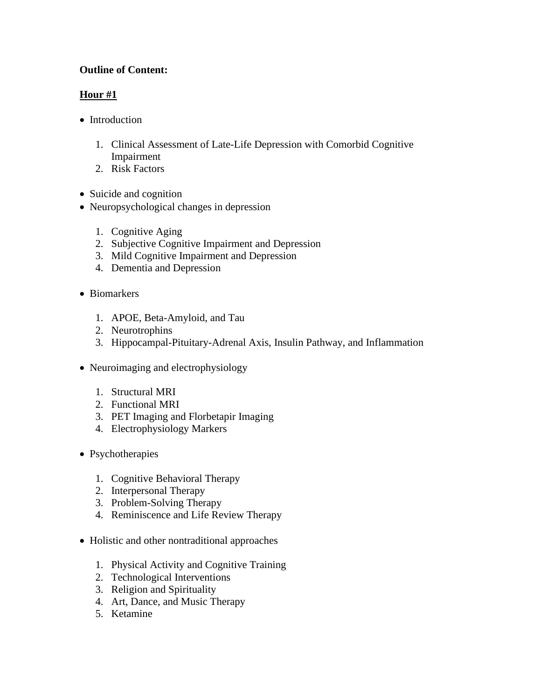# **Outline of Content:**

# **Hour #1**

- [Introduction](https://www.geriatric.theclinics.com/article/S0749-0690(19)30113-2/fulltext#sec2)
	- 1. [Clinical Assessment of Late-Life Depression with Comorbid Cognitive](https://www.geriatric.theclinics.com/article/S0749-0690(19)30113-2/fulltext#sec2.1)  [Impairment](https://www.geriatric.theclinics.com/article/S0749-0690(19)30113-2/fulltext#sec2.1)
	- 2. [Risk Factors](https://www.geriatric.theclinics.com/article/S0749-0690(19)30113-2/fulltext#sec2.2)
- [Suicide and cognition](https://www.geriatric.theclinics.com/article/S0749-0690(19)30113-2/fulltext#sec3)
- [Neuropsychological changes in depression](https://www.geriatric.theclinics.com/article/S0749-0690(19)30113-2/fulltext#sec4)
	- 1. [Cognitive Aging](https://www.geriatric.theclinics.com/article/S0749-0690(19)30113-2/fulltext#sec4.1)
	- 2. [Subjective Cognitive Impairment and Depression](https://www.geriatric.theclinics.com/article/S0749-0690(19)30113-2/fulltext#sec4.2)
	- 3. [Mild Cognitive Impairment and Depression](https://www.geriatric.theclinics.com/article/S0749-0690(19)30113-2/fulltext#sec4.3)
	- 4. [Dementia and Depression](https://www.geriatric.theclinics.com/article/S0749-0690(19)30113-2/fulltext#sec4.4)
- [Biomarkers](https://www.geriatric.theclinics.com/article/S0749-0690(19)30113-2/fulltext#sec5)
	- 1. [APOE, Beta-Amyloid, and Tau](https://www.geriatric.theclinics.com/article/S0749-0690(19)30113-2/fulltext#sec5.1)
	- 2. [Neurotrophins](https://www.geriatric.theclinics.com/article/S0749-0690(19)30113-2/fulltext#sec5.2)
	- 3. [Hippocampal-Pituitary-Adrenal Axis, Insulin](https://www.geriatric.theclinics.com/article/S0749-0690(19)30113-2/fulltext#sec5.3) Pathway, and Inflammation
- [Neuroimaging and electrophysiology](https://www.geriatric.theclinics.com/article/S0749-0690(19)30113-2/fulltext#sec6)
	- 1. [Structural MRI](https://www.geriatric.theclinics.com/article/S0749-0690(19)30113-2/fulltext#sec6.1)
	- 2. [Functional MRI](https://www.geriatric.theclinics.com/article/S0749-0690(19)30113-2/fulltext#sec6.2)
	- 3. [PET Imaging and Florbetapir Imaging](https://www.geriatric.theclinics.com/article/S0749-0690(19)30113-2/fulltext#sec6.3)
	- 4. [Electrophysiology Markers](https://www.geriatric.theclinics.com/article/S0749-0690(19)30113-2/fulltext#sec6.4)
- [Psychotherapies](https://www.geriatric.theclinics.com/article/S0749-0690(19)30113-2/fulltext#sec7)
	- 1. [Cognitive Behavioral Therapy](https://www.geriatric.theclinics.com/article/S0749-0690(19)30113-2/fulltext#sec7.1)
	- 2. [Interpersonal Therapy](https://www.geriatric.theclinics.com/article/S0749-0690(19)30113-2/fulltext#sec7.2)
	- 3. [Problem-Solving Therapy](https://www.geriatric.theclinics.com/article/S0749-0690(19)30113-2/fulltext#sec7.3)
	- 4. [Reminiscence and Life Review Therapy](https://www.geriatric.theclinics.com/article/S0749-0690(19)30113-2/fulltext#sec7.4)
- [Holistic and other nontraditional approaches](https://www.geriatric.theclinics.com/article/S0749-0690(19)30113-2/fulltext#sec8)
	- 1. [Physical Activity and Cognitive Training](https://www.geriatric.theclinics.com/article/S0749-0690(19)30113-2/fulltext#sec8.1)
	- 2. [Technological Interventions](https://www.geriatric.theclinics.com/article/S0749-0690(19)30113-2/fulltext#sec8.2)
	- 3. [Religion and Spirituality](https://www.geriatric.theclinics.com/article/S0749-0690(19)30113-2/fulltext#sec8.3)
	- 4. [Art, Dance, and Music Therapy](https://www.geriatric.theclinics.com/article/S0749-0690(19)30113-2/fulltext#sec8.4)
	- 5. [Ketamine](https://www.geriatric.theclinics.com/article/S0749-0690(19)30113-2/fulltext#sec8.5)